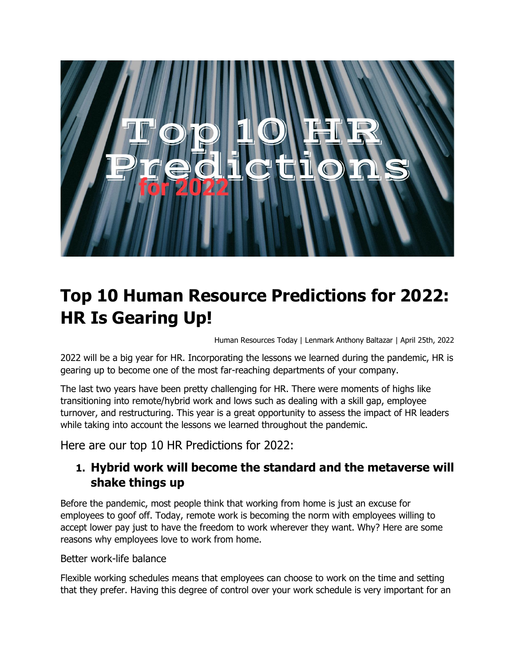

# **Top 10 Human Resource Predictions for 2022: HR Is Gearing Up!**

Human Resources Today | Lenmark Anthony Baltazar | April 25th, 2022

2022 will be a big year for HR. Incorporating the lessons we learned during the pandemic, HR is gearing up to become one of the most far-reaching departments of your company.

The last two years have been pretty challenging for HR. There were moments of highs like transitioning into remote/hybrid work and lows such as dealing with a skill gap, employee turnover, and restructuring. This year is a great opportunity to assess the impact of HR leaders while taking into account the lessons we learned throughout the pandemic.

Here are our top 10 HR Predictions for 2022:

### **1. Hybrid work will become the standard and the metaverse will shake things up**

Before the pandemic, most people think that working from home is just an excuse for employees to goof off. Today, remote work is becoming the norm with employees willing to accept lower pay just to have the freedom to work wherever they want. Why? Here are some reasons why employees love to work from home.

#### Better work-life balance

Flexible working schedules means that employees can choose to work on the time and setting that they prefer. Having this degree of control over your work schedule is very important for an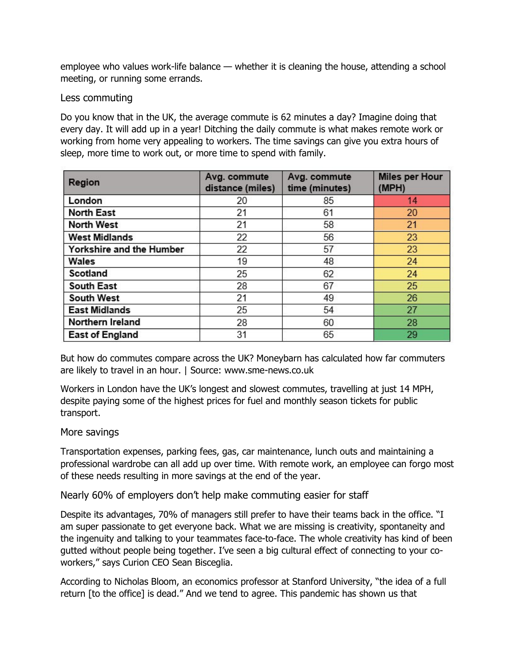employee who values work-life balance — whether it is cleaning the house, attending a school meeting, or running some errands.

#### Less commuting

Do you know that in the UK, the average commute is 62 minutes a day? Imagine doing that every day. It will add up in a year! Ditching the daily commute is what makes remote work or working from home very appealing to workers. The time savings can give you extra hours of sleep, more time to work out, or more time to spend with family.

| Region                   | Avg. commute<br>distance (miles) | Avg. commute<br>time (minutes) | <b>Miles per Hour</b><br>(MPH) |
|--------------------------|----------------------------------|--------------------------------|--------------------------------|
| London                   | 20                               | 85                             | 14                             |
| <b>North East</b>        | 21                               | 61                             | 20                             |
| <b>North West</b>        | 21                               | 58                             | 21                             |
| <b>West Midlands</b>     | 22                               | 56                             | 23                             |
| Yorkshire and the Humber | 22                               | 57                             | 23                             |
| Wales                    | 19                               | 48                             | 24                             |
| Scotland                 | 25                               | 62                             | 24                             |
| South East               | 28                               | 67                             | 25                             |
| <b>South West</b>        | 21                               | 49                             | 26                             |
| <b>East Midlands</b>     | 25                               | 54                             | 27                             |
| Northern Ireland         | 28                               | 60                             | 28                             |
| <b>East of England</b>   | 31                               | 65                             | 29                             |

But how do commutes compare across the UK? Moneybarn has calculated how far commuters are likely to travel in an hour. | Source: www.sme-news.co.uk

Workers in London have the UK's longest and slowest commutes, travelling at just 14 MPH, despite paying some of the highest prices for fuel and monthly season tickets for public transport.

#### More savings

Transportation expenses, parking fees, gas, car maintenance, lunch outs and maintaining a professional wardrobe can all add up over time. With remote work, an employee can forgo most of these needs resulting in more savings at the end of the year.

Nearly 60% of employers don't help make commuting easier for staff

Despite its advantages, 70% of managers still prefer to have their teams back in the office. "I am super passionate to get everyone back. What we are missing is creativity, spontaneity and the ingenuity and talking to your teammates face-to-face. The whole creativity has kind of been gutted without people being together. I've seen a big cultural effect of connecting to your coworkers," says Curion CEO Sean Bisceglia.

According to Nicholas Bloom, an economics professor at Stanford University, "the idea of a full return [to the office] is dead." And we tend to agree. This pandemic has shown us that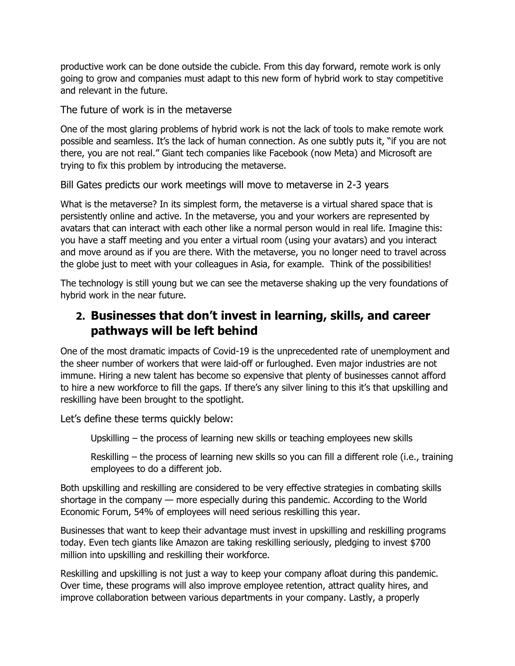productive work can be done outside the cubicle. From this day forward, remote work is only going to grow and companies must adapt to this new form of hybrid work to stay competitive and relevant in the future.

The future of work is in the metaverse

One of the most glaring problems of hybrid work is not the lack of tools to make remote work possible and seamless. It's the lack of human connection. As one subtly puts it, "if you are not there, you are not real." Giant tech companies like Facebook (now Meta) and Microsoft are trying to fix this problem by introducing the metaverse.

Bill Gates predicts our work meetings will move to metaverse in 2-3 years

What is the metaverse? In its simplest form, the metaverse is a virtual shared space that is persistently online and active. In the metaverse, you and your workers are represented by avatars that can interact with each other like a normal person would in real life. Imagine this: you have a staff meeting and you enter a virtual room (using your avatars) and you interact and move around as if you are there. With the metaverse, you no longer need to travel across the globe just to meet with your colleagues in Asia, for example. Think of the possibilities!

The technology is still young but we can see the metaverse shaking up the very foundations of hybrid work in the near future.

### **2. Businesses that don't invest in learning, skills, and career pathways will be left behind**

One of the most dramatic impacts of Covid-19 is the unprecedented rate of unemployment and the sheer number of workers that were laid-off or furloughed. Even major industries are not immune. Hiring a new talent has become so expensive that plenty of businesses cannot afford to hire a new workforce to fill the gaps. If there's any silver lining to this it's that upskilling and reskilling have been brought to the spotlight.

Let's define these terms quickly below:

Upskilling – the process of learning new skills or teaching employees new skills

Reskilling – the process of learning new skills so you can fill a different role (i.e., training employees to do a different job.

Both upskilling and reskilling are considered to be very effective strategies in combating skills shortage in the company — more especially during this pandemic. According to the World Economic Forum, 54% of employees will need serious reskilling this year.

Businesses that want to keep their advantage must invest in upskilling and reskilling programs today. Even tech giants like Amazon are taking reskilling seriously, pledging to invest \$700 million into upskilling and reskilling their workforce.

Reskilling and upskilling is not just a way to keep your company afloat during this pandemic. Over time, these programs will also improve employee retention, attract quality hires, and improve collaboration between various departments in your company. Lastly, a properly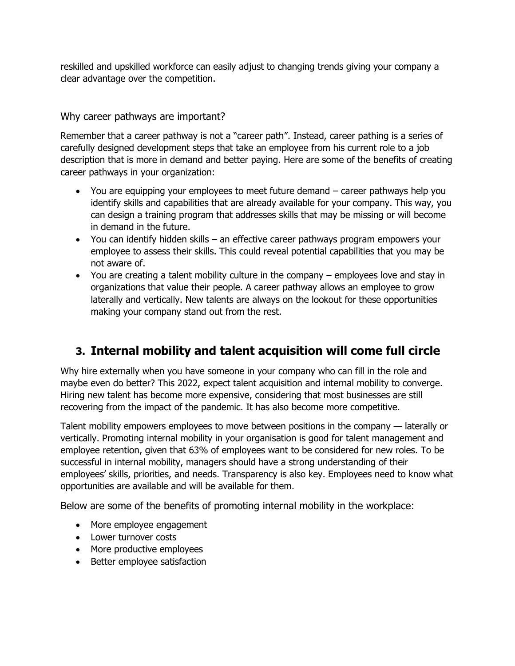reskilled and upskilled workforce can easily adjust to changing trends giving your company a clear advantage over the competition.

Why career pathways are important?

Remember that a career pathway is not a "career path". Instead, career pathing is a series of carefully designed development steps that take an employee from his current role to a job description that is more in demand and better paying. Here are some of the benefits of creating career pathways in your organization:

- You are equipping your employees to meet future demand career pathways help you identify skills and capabilities that are already available for your company. This way, you can design a training program that addresses skills that may be missing or will become in demand in the future.
- You can identify hidden skills an effective career pathways program empowers your employee to assess their skills. This could reveal potential capabilities that you may be not aware of.
- You are creating a talent mobility culture in the company employees love and stay in organizations that value their people. A career pathway allows an employee to grow laterally and vertically. New talents are always on the lookout for these opportunities making your company stand out from the rest.

# **3. Internal mobility and talent acquisition will come full circle**

Why hire externally when you have someone in your company who can fill in the role and maybe even do better? This 2022, expect talent acquisition and internal mobility to converge. Hiring new talent has become more expensive, considering that most businesses are still recovering from the impact of the pandemic. It has also become more competitive.

Talent mobility empowers employees to move between positions in the company — laterally or vertically. Promoting internal mobility in your organisation is good for talent management and employee retention, given that 63% of employees want to be considered for new roles. To be successful in internal mobility, managers should have a strong understanding of their employees' skills, priorities, and needs. Transparency is also key. Employees need to know what opportunities are available and will be available for them.

Below are some of the benefits of promoting internal mobility in the workplace:

- More employee engagement
- Lower turnover costs
- More productive employees
- Better employee satisfaction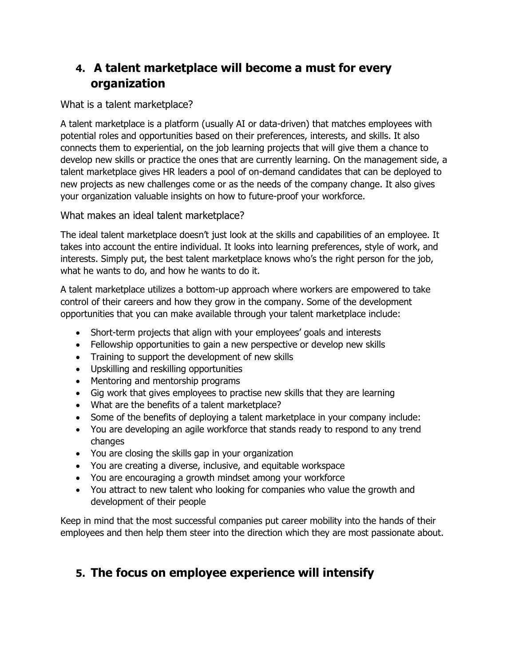### **4. A talent marketplace will become a must for every organization**

What is a talent marketplace?

A talent marketplace is a platform (usually AI or data-driven) that matches employees with potential roles and opportunities based on their preferences, interests, and skills. It also connects them to experiential, on the job learning projects that will give them a chance to develop new skills or practice the ones that are currently learning. On the management side, a talent marketplace gives HR leaders a pool of on-demand candidates that can be deployed to new projects as new challenges come or as the needs of the company change. It also gives your organization valuable insights on how to future-proof your workforce.

What makes an ideal talent marketplace?

The ideal talent marketplace doesn't just look at the skills and capabilities of an employee. It takes into account the entire individual. It looks into learning preferences, style of work, and interests. Simply put, the best talent marketplace knows who's the right person for the job, what he wants to do, and how he wants to do it.

A talent marketplace utilizes a bottom-up approach where workers are empowered to take control of their careers and how they grow in the company. Some of the development opportunities that you can make available through your talent marketplace include:

- Short-term projects that align with your employees' goals and interests
- Fellowship opportunities to gain a new perspective or develop new skills
- Training to support the development of new skills
- Upskilling and reskilling opportunities
- Mentoring and mentorship programs
- Gig work that gives employees to practise new skills that they are learning
- What are the benefits of a talent marketplace?
- Some of the benefits of deploying a talent marketplace in your company include:
- You are developing an agile workforce that stands ready to respond to any trend changes
- You are closing the skills gap in your organization
- You are creating a diverse, inclusive, and equitable workspace
- You are encouraging a growth mindset among your workforce
- You attract to new talent who looking for companies who value the growth and development of their people

Keep in mind that the most successful companies put career mobility into the hands of their employees and then help them steer into the direction which they are most passionate about.

### **5. The focus on employee experience will intensify**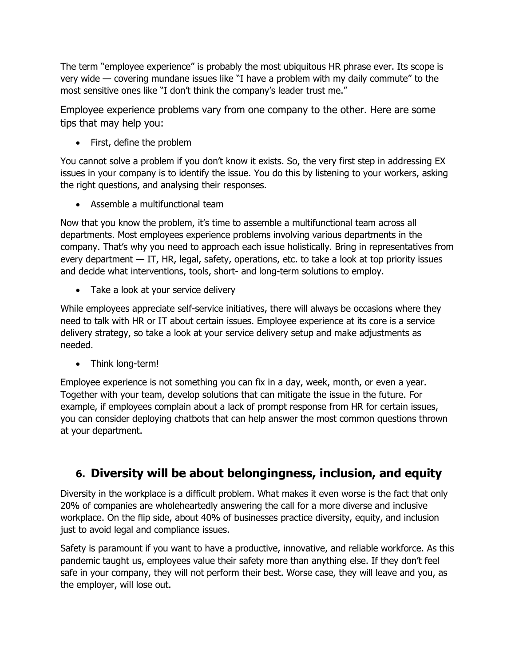The term "employee experience" is probably the most ubiquitous HR phrase ever. Its scope is very wide — covering mundane issues like "I have a problem with my daily commute" to the most sensitive ones like "I don't think the company's leader trust me."

Employee experience problems vary from one company to the other. Here are some tips that may help you:

• First, define the problem

You cannot solve a problem if you don't know it exists. So, the very first step in addressing EX issues in your company is to identify the issue. You do this by listening to your workers, asking the right questions, and analysing their responses.

• Assemble a multifunctional team

Now that you know the problem, it's time to assemble a multifunctional team across all departments. Most employees experience problems involving various departments in the company. That's why you need to approach each issue holistically. Bring in representatives from every department — IT, HR, legal, safety, operations, etc. to take a look at top priority issues and decide what interventions, tools, short- and long-term solutions to employ.

• Take a look at your service delivery

While employees appreciate self-service initiatives, there will always be occasions where they need to talk with HR or IT about certain issues. Employee experience at its core is a service delivery strategy, so take a look at your service delivery setup and make adjustments as needed.

• Think long-term!

Employee experience is not something you can fix in a day, week, month, or even a year. Together with your team, develop solutions that can mitigate the issue in the future. For example, if employees complain about a lack of prompt response from HR for certain issues, you can consider deploying chatbots that can help answer the most common questions thrown at your department.

# **6. Diversity will be about belongingness, inclusion, and equity**

Diversity in the workplace is a difficult problem. What makes it even worse is the fact that only 20% of companies are wholeheartedly answering the call for a more diverse and inclusive workplace. On the flip side, about 40% of businesses practice diversity, equity, and inclusion just to avoid legal and compliance issues.

Safety is paramount if you want to have a productive, innovative, and reliable workforce. As this pandemic taught us, employees value their safety more than anything else. If they don't feel safe in your company, they will not perform their best. Worse case, they will leave and you, as the employer, will lose out.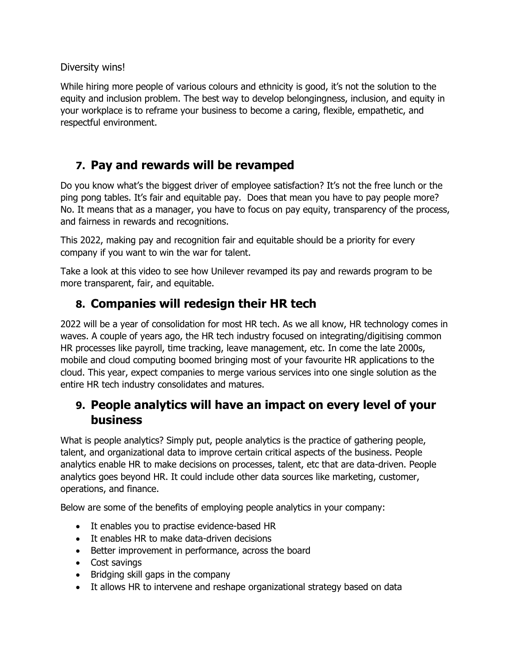Diversity wins!

While hiring more people of various colours and ethnicity is good, it's not the solution to the equity and inclusion problem. The best way to develop belongingness, inclusion, and equity in your workplace is to reframe your business to become a caring, flexible, empathetic, and respectful environment.

### **7. Pay and rewards will be revamped**

Do you know what's the biggest driver of employee satisfaction? It's not the free lunch or the ping pong tables. It's fair and equitable pay. Does that mean you have to pay people more? No. It means that as a manager, you have to focus on pay equity, transparency of the process, and fairness in rewards and recognitions.

This 2022, making pay and recognition fair and equitable should be a priority for every company if you want to win the war for talent.

Take a look at this video to see how Unilever revamped its pay and rewards program to be more transparent, fair, and equitable.

### **8. Companies will redesign their HR tech**

2022 will be a year of consolidation for most HR tech. As we all know, HR technology comes in waves. A couple of years ago, the HR tech industry focused on integrating/digitising common HR processes like payroll, time tracking, leave management, etc. In come the late 2000s, mobile and cloud computing boomed bringing most of your favourite HR applications to the cloud. This year, expect companies to merge various services into one single solution as the entire HR tech industry consolidates and matures.

### **9. People analytics will have an impact on every level of your business**

What is people analytics? Simply put, people analytics is the practice of gathering people, talent, and organizational data to improve certain critical aspects of the business. People analytics enable HR to make decisions on processes, talent, etc that are data-driven. People analytics goes beyond HR. It could include other data sources like marketing, customer, operations, and finance.

Below are some of the benefits of employing people analytics in your company:

- It enables you to practise evidence-based HR
- It enables HR to make data-driven decisions
- Better improvement in performance, across the board
- Cost savings
- Bridging skill gaps in the company
- It allows HR to intervene and reshape organizational strategy based on data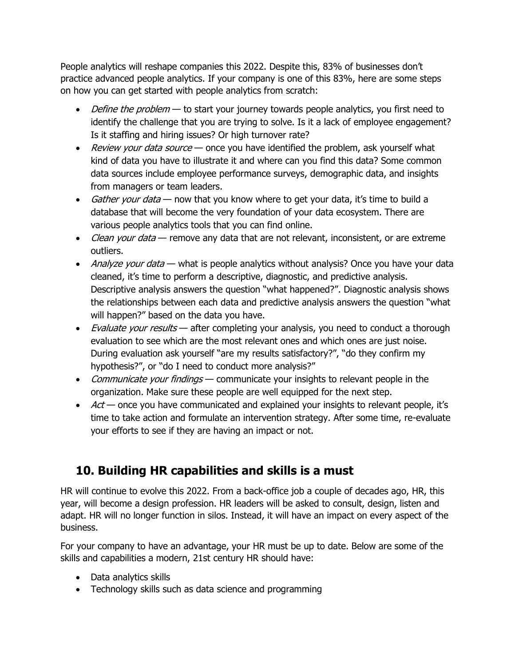People analytics will reshape companies this 2022. Despite this, 83% of businesses don't practice advanced people analytics. If your company is one of this 83%, here are some steps on how you can get started with people analytics from scratch:

- *Define the problem* to start your journey towards people analytics, you first need to identify the challenge that you are trying to solve. Is it a lack of employee engagement? Is it staffing and hiring issues? Or high turnover rate?
- Review your data source once you have identified the problem, ask yourself what kind of data you have to illustrate it and where can you find this data? Some common data sources include employee performance surveys, demographic data, and insights from managers or team leaders.
- Gather your data now that you know where to get your data, it's time to build a database that will become the very foundation of your data ecosystem. There are various people analytics tools that you can find online.
- Clean your data remove any data that are not relevant, inconsistent, or are extreme outliers.
- Analyze your data what is people analytics without analysis? Once you have your data cleaned, it's time to perform a descriptive, diagnostic, and predictive analysis. Descriptive analysis answers the question "what happened?". Diagnostic analysis shows the relationships between each data and predictive analysis answers the question "what will happen?" based on the data you have.
- *Evaluate your results* after completing your analysis, you need to conduct a thorough evaluation to see which are the most relevant ones and which ones are just noise. During evaluation ask yourself "are my results satisfactory?", "do they confirm my hypothesis?", or "do I need to conduct more analysis?"
- Communicate your findings communicate your insights to relevant people in the organization. Make sure these people are well equipped for the next step.
- $Act$  once you have communicated and explained your insights to relevant people, it's time to take action and formulate an intervention strategy. After some time, re-evaluate your efforts to see if they are having an impact or not.

# **10. Building HR capabilities and skills is a must**

HR will continue to evolve this 2022. From a back-office job a couple of decades ago, HR, this year, will become a design profession. HR leaders will be asked to consult, design, listen and adapt. HR will no longer function in silos. Instead, it will have an impact on every aspect of the business.

For your company to have an advantage, your HR must be up to date. Below are some of the skills and capabilities a modern, 21st century HR should have:

- Data analytics skills
- Technology skills such as data science and programming